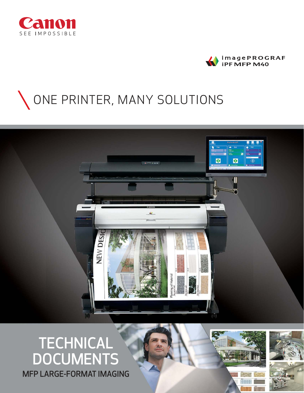



# ONE PRINTER, MANY SOLUTIONS



# TECHNICAL DOCUMENTS MFP LARGE-FORMAT IMAGING

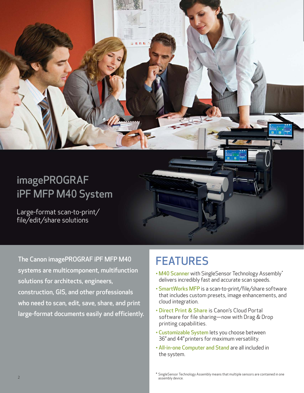# imagePROGRAF iPF MFP M40 System

Large-format scan-to-print/ file/edit/share solutions

The Canon imagePROGRAF iPF MFP M40 systems are multicomponent, multifunction solutions for architects, engineers, construction, GIS, and other professionals who need to scan, edit, save, share, and print large-format documents easily and efficiently.

# FEATURES

**DEL** 

- M40 Scanner with SingleSensor Technology Assembly\* delivers incredibly fast and accurate scan speeds.
- SmartWorks MFP is a scan-to-print/file/share software that includes custom presets, image enhancements, and cloud integration.
- Direct Print & Share is Canon's Cloud Portal software for file sharing—now with Drag & Drop printing capabilities.
- Customizable System lets you choose between 36" and 44" printers for maximum versatility.
- All-in-one Computer and Stand are all included in the system.

\* SingleSensor Technology Assembly means that multiple sensors are contained in one 2 assembly device. The contract of the contract of the contract of the contract of the contract of the contract of the contract of the contract of the contract of the contract of the contract of the contract of the contrac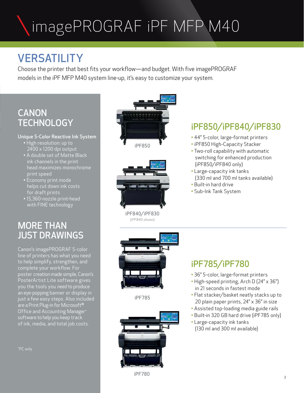# imagePROGRAF iPF MFP M40

# **VERSATILITY**

Choose the printer that best fits your workflow—and budget. With five imagePROGRAF models in the iPF MFP M40 system line-up, it's easy to customize your system.

# **CANON TECHNOLOGY**

# Unique 5-Color Reactive Ink System

- High resolution: up to 2400 x 1200 dpi output
- A double set of Matte Black ink channels in the print head maximizes monochrome print speed
- Economy print mode helps cut down ink costs for draft prints
- 15,360-nozzle print-head with FINE technology

# MORE THAN JUST DRAWINGS

Canon's imagePROGRAF 5-color line of printers has what you need to help simplify, strengthen, and complete your workflow. For poster creation made simple, Canon's PosterArtist Lite software gives you the tools you need to produce an eye-popping banner or display in just a few easy steps. Also included are a Print Plug-in for Microsoft<sup>®</sup> Office and Accounting Manager\* software to help you keep track of ink, media, and total job costs.





iPF840/iPF830 *(iPF840 shown)*



iPF785



# iPF850/iPF840/iPF830

- 44" 5-color, large-format printers
- iPF850 High-Capacity Stacker
- Two-roll capability with automatic switching for enhanced production (iPF850/iPF840 only)
- Large-capacity ink tanks (330 ml and 700 ml tanks available)
- Built-in hard drive
- Sub-Ink Tank System

# iPF785/iPF780

- 36" 5-color, large-format printers
- High-speed printing, Arch D (24" x 36") in 21 seconds in fastest mode
- Flat stacker/basket neatly stacks up to 20 plain paper prints, 24" x 36" in size
- Assisted top-loading media guide rails
- Built-in 320 GB hard drive (iPF785 only)
- Large-capacity ink tanks (130 ml and 300 ml available)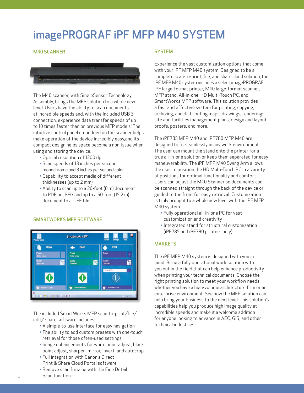# imagePROGRAF iPF MFP M40 SYSTEM

# M40 SCANNER



The M40 scanner, with SingleSensor Technology Assembly, brings the MFP solution to a whole new level. Users have the ability to scan documents at incredible speeds and, with the included USB 3 connection, experience data transfer speeds of up to 10 times faster than on previous MFP models! The intuitive control panel embedded on the scanner helps make operation of the device incredibly easy,and its compact design helps space become a non-issue when using and storing the device.

- Optical resolution of 1200 dpi
- Scan speeds of 13 inches per second monochrome and 3 inches per second color
- Capability to accept media of different thicknesses (up to 2 mm)
- Ability to scan up to a 26-foot (8 m) document to PDF or JPEG and up to a 50-foot (15.2 m) document to a TIFF file



### SMARTWORKS MFP SOFTWARE

The included SmartWorks MFP scan-to-print/file/ edit/ share software includes:

- A simple-to-use interface for easy navigation
- The ability to add custom presets with one-touch retrieval for those often-used settings
- Image enhancements for white point adjust, black point adjust, sharpen, mirror, invert, and autocrop
- Full integration with Canon's Direct Print & Share Cloud Portal software
- Remove scan fringing with the Fine Detail Scan function

# **SYSTEM**

Experience the vast customization options that come with your iPF MFP M40 system. Designed to be a complete scan-to-print, file, and share cloud solution, the iPF MFP M40 system includes a select imagePROGRAF iPF large-format printer, M40 large-format scanner, MFP stand, All-in-one, HD Multi-Touch PC, and SmartWorks MFP software. This solution provides a fast and effective system for printing, copying, archiving, and distributing maps, drawings, renderings, site and facilities management plans, design and layout proofs, posters, and more.

The iPF785 MFP M40 and iPF780 MFP M40 are designed to fit seamlessly in any work environment. The user can mount the stand onto the printer for a true all-in-one solution or keep them separated for easy maneuverability. The iPF MFP M40 Swing Arm allows the user to position the HD Multi-Touch PC in a variety of positions for optimal functionality and comfort. Users can adjust the M40 Scanner so documents can be scanned straight through the back of the device or guided to the front for easy retrieval. Customization is truly brought to a whole new level with the iPF MFP M40 system.

- Fully operational all-in-one PC for vast customization and creativity
- Integrated stand for structural customization (iPF785 and iPF780 printers only)

### **MARKETS**

The iPF MFP M40 system is designed with you in mind. Bring a fully operational work solution with you out in the field that can help enhance productivity when printing your technical documents. Choose the right printing solution to meet your workflow needs, whether you have a high-volume architecture firm or an enterprise environment. See how the MFP solution can help bring your business to the next level. This solution's capabilities help you produce high image quality at incredible speeds and make it a welcome addition for anyone looking to advance in AEC, GIS, and other technical industries.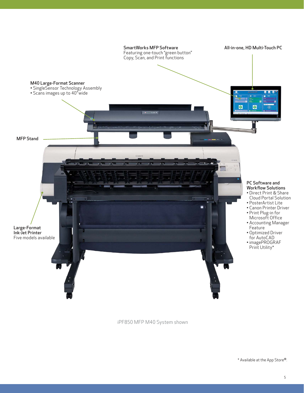

iPF850 MFP M40 System shown

\* Available at the App Store®.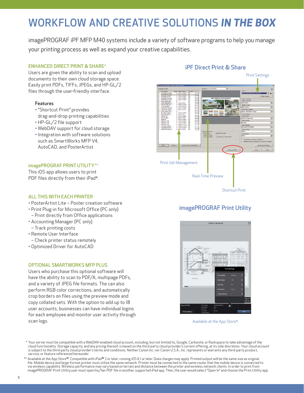# WORKFLOW AND CREATIVE SOLUTIONS *IN THE BOX*

imagePROGRAF iPF MFP M40 systems include a variety of software programs to help you manage your printing process as well as expand your creative capabilities.

### ENHANCED DIRECT PRINT & SHARE\*

Users are given the ability to scan and upload documents to their own cloud storage space. Easily print PDFs, TIFFs, JPEGs, and HP-GL/2 files through the user-friendly interface.

### **Features**

- "Shortcut Print" provides drag-and-drop printing capabilities
- HP-GL/2 file support
- WebDAV support for cloud storage
- Integration with software solutions such as SmartWorks MFP V4, AutoCAD, and PosterArtist

# imagePROGRAF PRINT UTILITY\*\*

This iOS app allows users to print PDF files directly from their iPad<sup>®</sup>.

# ALL THIS WITH EACH PRINTER

- PosterArtist Lite Poster creation software
- Print Plug-in for Microsoft Office (PC only)
- Print directly from Office applications
- Accounting Manager (PC only) – Track printing costs
- Remote User Interface
- Check printer status remotely
- Optimized Driver for AutoCAD

### OPTIONAL SMARTWORKS MFP PLUS

Users who purchase this optional software will have the ability to scan to PDF/A, multipage PDFs, and a variety of JPEG file formats. The can also perform RGB color corrections, and automatically crop borders on files using the preview mode and copy collated sets. With the option to add up to 18 user accounts, businesses can have individual logins for each employee and monitor user activity through scan logs.



# iPF Direct Print & Share

# imagePROGRAF Print Utility



Available at the App Store®.

 \* Your server must be compatible with a WebDAV-enabled cloud account, including, but not limited to, Google, Carbonite, or Rackspace to take advantage of the cloud functionality. Storage capacity, and any pricing thereof, is based on the third-party cloud provider's current offering, at its sole discretion. Your cloud account<br>is subject to the third-party cloud provider's terms service, or feature referenced hereunder.

\*\* Available at the App Store®. Compatible with iPad® 2 or later, running iOS 6.1 or later. Data charges may apply. Printed output will be the same size as original file. Mobile device and large-format printer must utilize the same network. Printer must be connected to the same router that the mobile device is connected to via wireless capability. Wireless performance may vary based on terrain and distance between the printer and wireless network clients. In order to print from imagePROGRAF Print Utility,user must open his/her PDF file in another, supported iPad app. Then, the user would select "Open In" and choose the Print Utility app.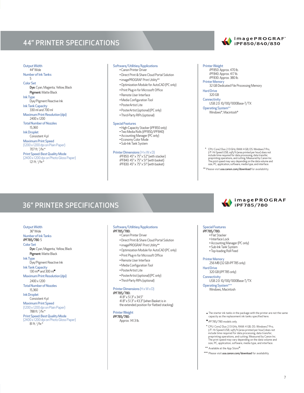# 44" PRINTER SPECIFICATIONS

#### Output Width 44" Wide

Number of Ink Tanks 5 Color Set

- Dye: Cyan, Magenta, Yellow, Black Pigment: Matte Black
- Ink Type Dye/Pigment Reactive Ink
- Ink Tank Capacity
- 330 ml and 700 ml Maximum Print Resolution (dpi)
- 2400 x 1200 Total Number of Nozzles
- 15,360
- Ink Droplet Consistent 4 pl
- Maximum Print Speed

(1200 x 1200 dpi on Plain Paper) 707 ft. <sup>2</sup>/hr.\*

# Print Speed: Best Quality Mode

(2400 x 1200 dpi on Photo Gloss Paper) 121 ft. <sup>2</sup>/hr.\*

#### Software/Utilities/Applications

- Canon Printer Driver
- Direct Print & Share Cloud Portal Solution
- imagePROGRAF Print Utility\*\*
- Optimization Module for AutoCAD (PC only)
- Print Plug-in for Microsoft Office
- Remote User Interface
- Media Configuration Tool
- PosterArtist Lite
- PosterArtist (optional) (PC only) • Third-Party RIPs (optional)

#### Special Features

- High-Capacity Stacker (iPF850 only)
- Two Media Rolls (iPF850/iPF840)
- Accounting Manager (PC only) Economy Color Mode
	- Sub-Ink Tank System

#### Printer Dimensions (H x W x D)

 iPF850: 45" x 75" x 52" (with stacker) iPF840: 45" x 75" x 51" (with basket) iPF830: 45" x 75" x 51" (with basket)

### Printer Weight

- iPF850: Approx. 470 lb. iPF840: Approx. 417 lb.
- iPF830: Approx. 380 lb. Printer Memory
- 
- 32 GB Dedicated File Processing Memory Hard Drive
- 320 GB **Connectivity**
- USB 2.0: 10/100/1000Base-T/TX

Operating System\*\* Windows®, Macintosh®

\* CPU: Core2 Duo 2.13 GHz, RAM: 4 GB, OS: Windows7 Pro,<br>  $\sqrt{F+H}$ : Speed USB, sqft $\sqrt{h}$  (nera printed per hour) does not<br>
include time required for data processing data transfer,<br>
preprinting operations, and cutting. Me

\*\* Please visit usa.canon.com/download for availability.

# 36" PRINTER SPECIFICATIONS

### Output Width

 36" Wide Number of Ink Tanks iPF785/780: 5 Color Set

Dye: Cyan, Magenta, Yellow, Black Pigment: Matte Black

Ink Type

Dye/Pigment Reactive Ink Ink Tank Capacity

130 ml<sup>\*</sup> and 300 ml

Maximum Print Resolution (dpi)

 2400 x 1200 Total Number of Nozzles

15,360

Ink Droplet

 Consistent 4 pl Maximum Print Speed

(1200 x 1200 dpi on Plain Paper) 788 ft. <sup>2</sup>/hr.\*

Print Speed: Best Quality Mode (2400 x 1200 dpi on Photo Gloss Paper) 81 ft. <sup>2</sup>/hr.\*

# Software/Utilities/Applications

iPF785/780: • Canon Printer Driver

- Direct Print & Share Cloud Portal Solution
- imagePROGRAF Print Utility\*\*
- Optimization Module for AutoCAD (PC only)
- Print Plug-in for Microsoft Office
- Remote User Interface
- Media Configuration Tool
- PosterArtist Lite
- PosterArtist (optional) (PC only) • Third-Party RIPs (optional)

#### Printer Dimensions (H x W x D)

iPF785/780: 41.8" x 51.3" x 34.5" 41.8" x 51.3" x 43.3" (when Basket is in the extended position for flatbed stacking)

#### Printer Weight

iPF785/780: Approx. 141.3 lb.



#### Special Features

iPF785/780: • Flat Stacker

- Interface Lock
- 
- Accounting Manager (PC only) Sub-Ink Tank System
	- Top-loading Roll Feed
	-

Printer Memory

 256 MB (32 GB iPF785 only) Hard Drive

### 320 GB (iPF785 only)

**Connectivity** 

USB 2.0: 10/100/1000Base-T/TX

Operating System\*\*\* Windows, Macintosh

- ▲ The starter ink tanks in the package with the printer are not the same capacity as the replacement ink tanks specified here.
- iPF785/780 models only.
- \* CPU: Core2 Duo 2.13 GHz, RAM: 4 GB, OS: Windows7 Pro, I/F: Hi-Speed USB, sqft/h (area printed per hour) does not include time required for data processing, data transfer, preprinting operations, and cutting. Measured by Canon Inc. The print speed may vary depending on the data volume and size, PC, application, software, media type, and interface.
- \*\* Available at the App Store®
- \*\*\* Please visit usa.canon.com/download for availability.

### imagePROGRAF® iPF850/840/830